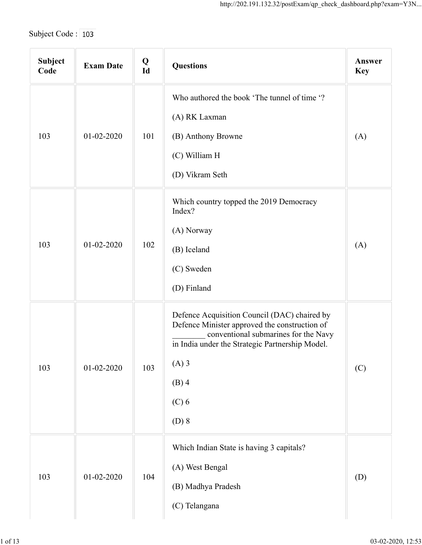| Subject Code: 103 |                  |             | http://202.191.132.32/postExam/qp_check_dashboard.php?exam=Y3N                                                                                                                                                                       |                      |
|-------------------|------------------|-------------|--------------------------------------------------------------------------------------------------------------------------------------------------------------------------------------------------------------------------------------|----------------------|
| Subject<br>Code   | <b>Exam Date</b> | $Q$<br>$Id$ | <b>Questions</b>                                                                                                                                                                                                                     | Answer<br><b>Key</b> |
|                   |                  |             | Who authored the book 'The tunnel of time '?<br>(A) RK Laxman                                                                                                                                                                        |                      |
| 103               | $01 - 02 - 2020$ | 101         | (B) Anthony Browne<br>(C) William H<br>(D) Vikram Seth                                                                                                                                                                               | (A)                  |
| 103               | 01-02-2020       | 102         | Which country topped the 2019 Democracy<br>Index?<br>(A) Norway<br>(B) Iceland<br>(C) Sweden<br>(D) Finland                                                                                                                          | (A)                  |
|                   | 01-02-2020       | 103         | Defence Acquisition Council (DAC) chaired by<br>Defence Minister approved the construction of<br>conventional submarines for the Navy<br>in India under the Strategic Partnership Model.<br>$(A)$ 3<br>$(B)$ 4<br>$(C)$ 6<br>$(D)$ 8 | (C)                  |
| 103               | $01 - 02 - 2020$ | 104         | Which Indian State is having 3 capitals?<br>(A) West Bengal<br>(B) Madhya Pradesh<br>(C) Telangana                                                                                                                                   | (D)                  |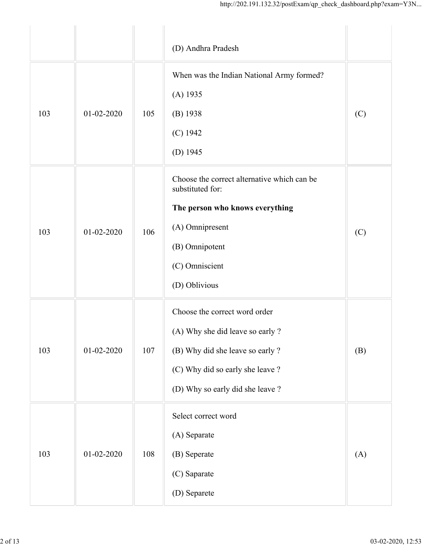|     |                  |     | http://202.191.132.32/postExam/qp_check_dashboard.php?exam=Y3N                                                                                                                |     |
|-----|------------------|-----|-------------------------------------------------------------------------------------------------------------------------------------------------------------------------------|-----|
|     |                  |     | (D) Andhra Pradesh                                                                                                                                                            |     |
| 103 | $01 - 02 - 2020$ | 105 | When was the Indian National Army formed?<br>$(A)$ 1935<br>$(B)$ 1938<br>$(C)$ 1942<br>(D) $1945$                                                                             | (C) |
| 103 | $01 - 02 - 2020$ | 106 | Choose the correct alternative which can be<br>substituted for:<br>The person who knows everything<br>(A) Omnipresent<br>(B) Omnipotent<br>(C) Omniscient<br>(D) Oblivious    | (C) |
| 103 | $01 - 02 - 2020$ | 107 | Choose the correct word order<br>(A) Why she did leave so early ?<br>(B) Why did she leave so early ?<br>(C) Why did so early she leave ?<br>(D) Why so early did she leave ? | (B) |
| 103 | $01 - 02 - 2020$ | 108 | Select correct word<br>(A) Separate<br>(B) Seperate<br>(C) Saparate<br>(D) Separete                                                                                           | (A) |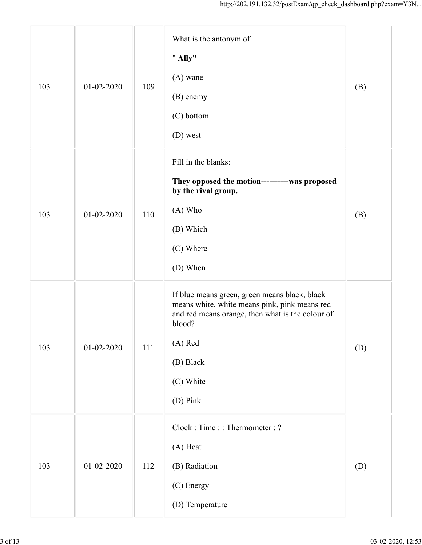|     |                  |     | http://202.191.132.32/postExam/qp_check_dashboard.php?exam=Y3N                                                                                                                                                |     |
|-----|------------------|-----|---------------------------------------------------------------------------------------------------------------------------------------------------------------------------------------------------------------|-----|
| 103 | $01 - 02 - 2020$ | 109 | What is the antonym of<br>" Ally"<br>$(A)$ wane<br>(B) enemy<br>(C) bottom<br>(D) west                                                                                                                        | (B) |
| 103 | 01-02-2020       | 110 | Fill in the blanks:<br>They opposed the motion-----------was proposed<br>by the rival group.<br>(A) Who<br>(B) Which<br>(C) Where<br>(D) When                                                                 | (B) |
| 103 | 01-02-2020       | 111 | If blue means green, green means black, black<br>means white, white means pink, pink means red<br>and red means orange, then what is the colour of<br>blood?<br>(A) Red<br>(B) Black<br>(C) White<br>(D) Pink | (D) |
| 103 | $01 - 02 - 2020$ | 112 | Clock: Time:: Thermometer: ?<br>(A) Heat<br>(B) Radiation<br>(C) Energy<br>(D) Temperature                                                                                                                    | (D) |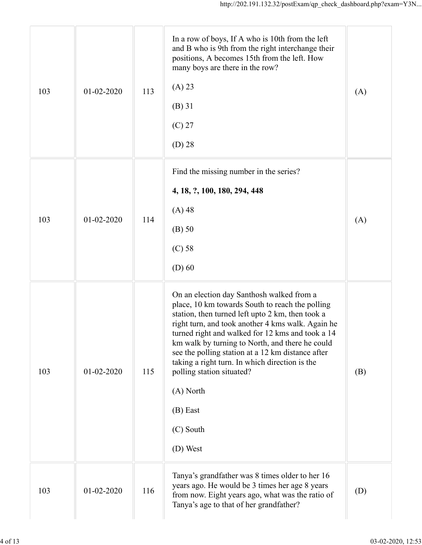|     |                  |     | http://202.191.132.32/postExam/qp_check_dashboard.php?exam=Y3N                                                                                                                                                                                                                                                                                                                                                                                                                                       |     |
|-----|------------------|-----|------------------------------------------------------------------------------------------------------------------------------------------------------------------------------------------------------------------------------------------------------------------------------------------------------------------------------------------------------------------------------------------------------------------------------------------------------------------------------------------------------|-----|
| 103 | 01-02-2020       | 113 | In a row of boys, If A who is 10th from the left<br>and B who is 9th from the right interchange their<br>positions, A becomes 15th from the left. How<br>many boys are there in the row?<br>(A) 23<br>$(B)$ 31<br>$(C)$ 27<br>$(D)$ 28                                                                                                                                                                                                                                                               | (A) |
| 103 | 01-02-2020       | 114 | Find the missing number in the series?<br>4, 18, ?, 100, 180, 294, 448<br>$(A)$ 48<br>$(B)$ 50<br>$(C)$ 58<br>$(D)$ 60                                                                                                                                                                                                                                                                                                                                                                               | (A) |
| 103 | $01 - 02 - 2020$ | 115 | On an election day Santhosh walked from a<br>place, 10 km towards South to reach the polling<br>station, then turned left upto 2 km, then took a<br>right turn, and took another 4 kms walk. Again he<br>turned right and walked for 12 kms and took a 14<br>km walk by turning to North, and there he could<br>see the polling station at a 12 km distance after<br>taking a right turn. In which direction is the<br>polling station situated?<br>(A) North<br>$(B)$ East<br>(C) South<br>(D) West | (B) |
| 103 | 01-02-2020       | 116 | Tanya's grandfather was 8 times older to her 16<br>years ago. He would be 3 times her age 8 years<br>from now. Eight years ago, what was the ratio of<br>Tanya's age to that of her grandfather?                                                                                                                                                                                                                                                                                                     | (D) |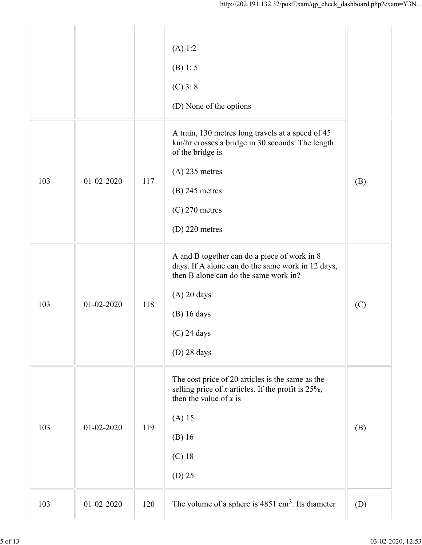|     |                         | (A) 1:2<br>(B) 1: 5<br>$(C)$ 3: 8<br>(D) None of the options                                                                                                                                                   |     |
|-----|-------------------------|----------------------------------------------------------------------------------------------------------------------------------------------------------------------------------------------------------------|-----|
| 103 | $01 - 02 - 2020$<br>117 | A train, 130 metres long travels at a speed of 45<br>km/hr crosses a bridge in 30 seconds. The length<br>of the bridge is<br>$(A)$ 235 metres<br>$(B)$ 245 metres<br>$(C)$ 270 metres<br>$(D)$ 220 metres      | (B) |
| 103 | $01 - 02 - 2020$<br>118 | A and B together can do a piece of work in 8<br>days. If A alone can do the same work in 12 days,<br>then B alone can do the same work in?<br>$(A)$ 20 days<br>$(B)$ 16 days<br>$(C)$ 24 days<br>$(D)$ 28 days | (C) |
| 103 | 01-02-2020<br>119       | The cost price of 20 articles is the same as the<br>selling price of $x$ articles. If the profit is 25%,<br>then the value of $x$ is<br>$(A)$ 15<br>$(B)$ 16<br>$(C)$ 18<br>$(D)$ 25                           | (B) |
| 103 | 01-02-2020<br>120       | The volume of a sphere is $4851 \text{ cm}^3$ . Its diameter                                                                                                                                                   | (D) |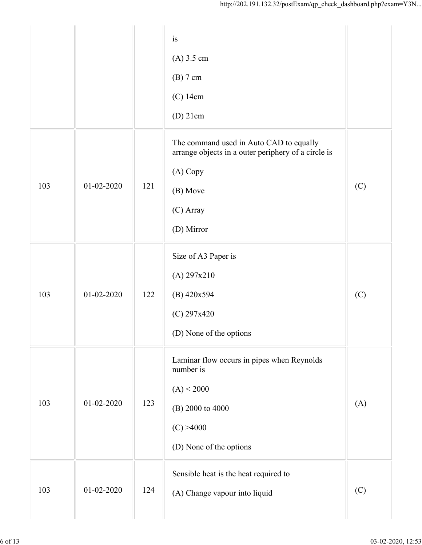|     |                  |     | is<br>$(A)$ 3.5 cm<br>(B) 7 cm<br>(C) 14cm<br>$(D)$ 21cm                                                                                          |     |
|-----|------------------|-----|---------------------------------------------------------------------------------------------------------------------------------------------------|-----|
| 103 | $01 - 02 - 2020$ | 121 | The command used in Auto CAD to equally<br>arrange objects in a outer periphery of a circle is<br>(A) Copy<br>(B) Move<br>(C) Array<br>(D) Mirror | (C) |
| 103 | 01-02-2020       | 122 | Size of A3 Paper is<br>(A) 297x210<br>$(B)$ 420x594<br>$(C)$ 297x420<br>(D) None of the options                                                   | (C) |
| 103 | 01-02-2020       | 123 | Laminar flow occurs in pipes when Reynolds<br>number is<br>(A) < 2000<br>(B) 2000 to 4000<br>(C) > 4000<br>(D) None of the options                | (A) |
| 103 | 01-02-2020       | 124 | Sensible heat is the heat required to<br>(A) Change vapour into liquid                                                                            | (C) |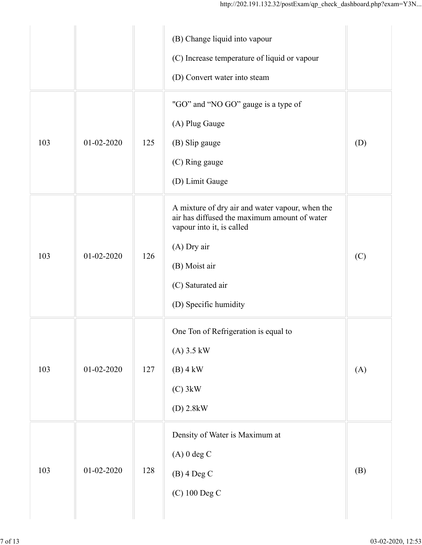|     |                  |     | http://202.191.132.32/postExam/qp_check_dashboard.php?exam=Y3N                                                                                                                                             |     |
|-----|------------------|-----|------------------------------------------------------------------------------------------------------------------------------------------------------------------------------------------------------------|-----|
|     |                  |     | (B) Change liquid into vapour<br>(C) Increase temperature of liquid or vapour<br>(D) Convert water into steam                                                                                              |     |
| 103 | $01-02-2020$     | 125 | "GO" and "NO GO" gauge is a type of<br>(A) Plug Gauge<br>(B) Slip gauge<br>(C) Ring gauge<br>(D) Limit Gauge                                                                                               | (D) |
| 103 | 01-02-2020       | 126 | A mixture of dry air and water vapour, when the<br>air has diffused the maximum amount of water<br>vapour into it, is called<br>(A) Dry air<br>(B) Moist air<br>(C) Saturated air<br>(D) Specific humidity | (C) |
| 103 | $01 - 02 - 2020$ | 127 | One Ton of Refrigeration is equal to<br>$(A)$ 3.5 kW<br>$(B)$ 4 kW<br>$(C)$ 3kW<br>$(D)$ 2.8kW                                                                                                             | (A) |
| 103 | $01 - 02 - 2020$ | 128 | Density of Water is Maximum at<br>$(A)$ 0 deg C<br>$(B)$ 4 Deg C<br>(C) 100 Deg C                                                                                                                          | (B) |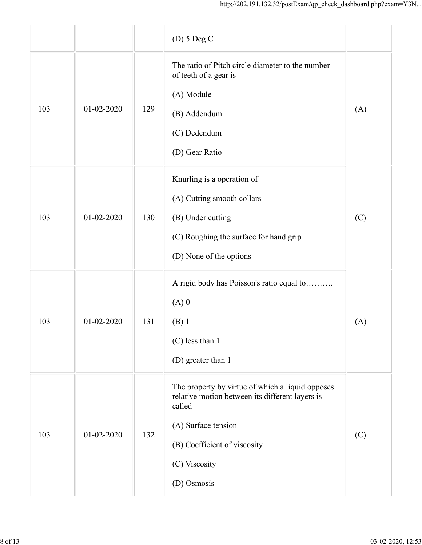|     |                  |     | http://202.191.132.32/postExam/qp_check_dashboard.php?exam=Y3N                                                                                                                                       |     |
|-----|------------------|-----|------------------------------------------------------------------------------------------------------------------------------------------------------------------------------------------------------|-----|
|     |                  |     | $(D)$ 5 Deg C                                                                                                                                                                                        |     |
| 103 | 01-02-2020       | 129 | The ratio of Pitch circle diameter to the number<br>of teeth of a gear is<br>(A) Module<br>(B) Addendum<br>(C) Dedendum<br>(D) Gear Ratio                                                            | (A) |
| 103 | 01-02-2020       | 130 | Knurling is a operation of<br>(A) Cutting smooth collars<br>(B) Under cutting<br>(C) Roughing the surface for hand grip<br>(D) None of the options                                                   | (C) |
| 103 | $01 - 02 - 2020$ | 131 | A rigid body has Poisson's ratio equal to<br>$(A)$ 0<br>$(B)$ 1<br>(C) less than 1<br>(D) greater than 1                                                                                             | (A) |
| 103 | 01-02-2020       | 132 | The property by virtue of which a liquid opposes<br>relative motion between its different layers is<br>called<br>(A) Surface tension<br>(B) Coefficient of viscosity<br>(C) Viscosity<br>(D) Osmosis | (C) |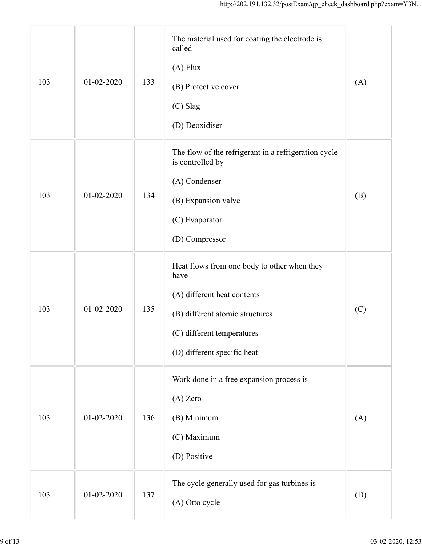|     |                  |     | http://202.191.132.32/postExam/qp_check_dashboard.php?exam=Y3N                                                                                                                     |     |
|-----|------------------|-----|------------------------------------------------------------------------------------------------------------------------------------------------------------------------------------|-----|
| 103 | 01-02-2020       | 133 | The material used for coating the electrode is<br>called<br>$(A)$ Flux<br>(B) Protective cover<br>(C) Slag<br>(D) Deoxidiser                                                       | (A) |
| 103 | 01-02-2020       | 134 | The flow of the refrigerant in a refrigeration cycle<br>is controlled by<br>(A) Condenser<br>(B) Expansion valve<br>(C) Evaporator<br>(D) Compressor                               | (B) |
| 103 | $01 - 02 - 2020$ | 135 | Heat flows from one body to other when they<br>have<br>(A) different heat contents<br>(B) different atomic structures<br>(C) different temperatures<br>(D) different specific heat | (C) |
| 103 | 01-02-2020       | 136 | Work done in a free expansion process is<br>(A) Zero<br>(B) Minimum<br>(C) Maximum<br>(D) Positive                                                                                 | (A) |
| 103 | 01-02-2020       | 137 | The cycle generally used for gas turbines is<br>(A) Otto cycle                                                                                                                     | (D) |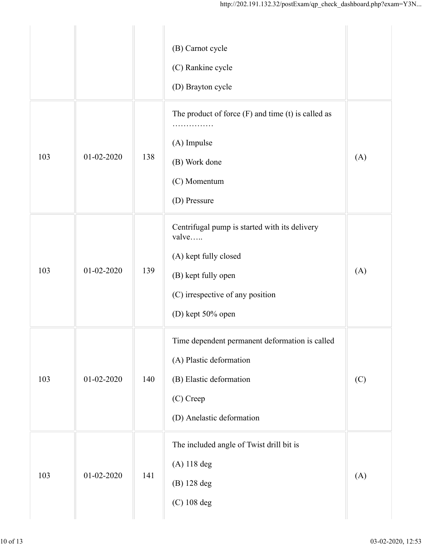|     |                  |     | http://202.191.132.32/postExam/qp_check_dashboard.php?exam=Y3N                                                                                                  |     |
|-----|------------------|-----|-----------------------------------------------------------------------------------------------------------------------------------------------------------------|-----|
|     |                  |     | (B) Carnot cycle<br>(C) Rankine cycle<br>(D) Brayton cycle                                                                                                      |     |
| 103 | 01-02-2020       | 138 | The product of force $(F)$ and time $(t)$ is called as<br>.<br>(A) Impulse<br>(B) Work done<br>(C) Momentum<br>(D) Pressure                                     | (A) |
| 103 | $01 - 02 - 2020$ | 139 | Centrifugal pump is started with its delivery<br>valve<br>(A) kept fully closed<br>(B) kept fully open<br>(C) irrespective of any position<br>(D) kept 50% open | (A) |
| 103 | $01 - 02 - 2020$ | 140 | Time dependent permanent deformation is called<br>(A) Plastic deformation<br>(B) Elastic deformation<br>(C) Creep<br>(D) Anelastic deformation                  | (C) |
| 103 | 01-02-2020       | 141 | The included angle of Twist drill bit is<br>(A) 118 deg<br>(B) 128 deg<br>(C) 108 deg                                                                           | (A) |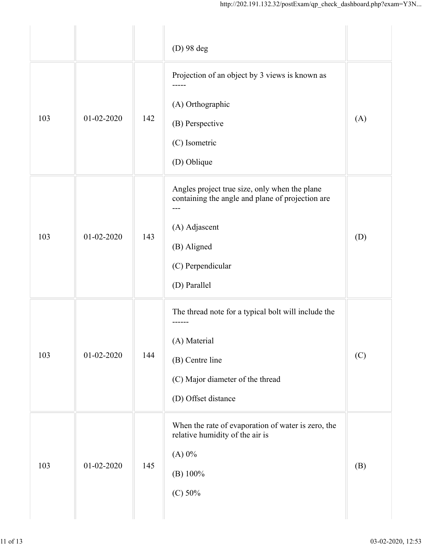|     |                  |     | http://202.191.132.32/postExam/qp_check_dashboard.php?exam=Y3N                                                                                                         |     |
|-----|------------------|-----|------------------------------------------------------------------------------------------------------------------------------------------------------------------------|-----|
|     |                  |     | (D) 98 deg                                                                                                                                                             |     |
| 103 | $01 - 02 - 2020$ | 142 | Projection of an object by 3 views is known as<br>(A) Orthographic<br>(B) Perspective<br>(C) Isometric<br>(D) Oblique                                                  | (A) |
| 103 | 01-02-2020       | 143 | Angles project true size, only when the plane<br>containing the angle and plane of projection are<br>(A) Adjascent<br>(B) Aligned<br>(C) Perpendicular<br>(D) Parallel | (D) |
| 103 | $01 - 02 - 2020$ | 144 | The thread note for a typical bolt will include the<br>------<br>(A) Material<br>(B) Centre line<br>(C) Major diameter of the thread<br>(D) Offset distance            | (C) |
| 103 | $01 - 02 - 2020$ | 145 | When the rate of evaporation of water is zero, the<br>relative humidity of the air is<br>$(A)$ 0%<br>(B) 100%<br>(C) 50%                                               | (B) |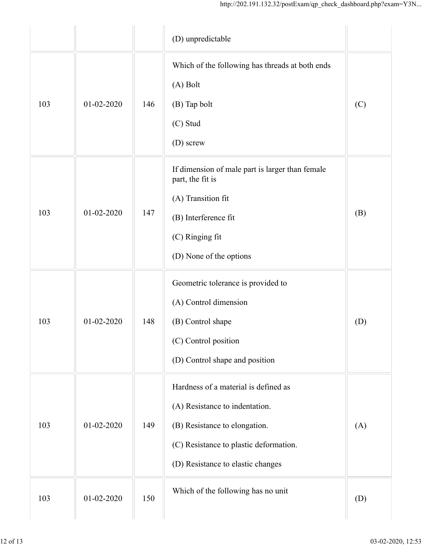|                         |     | http://202.191.132.32/postExam/qp_check_dashboard.php?exam=Y3N      |     |
|-------------------------|-----|---------------------------------------------------------------------|-----|
|                         |     | (D) unpredictable                                                   |     |
|                         |     | Which of the following has threads at both ends                     |     |
|                         |     | (A) Bolt                                                            |     |
| 103<br>01-02-2020       | 146 | (B) Tap bolt                                                        | (C) |
|                         |     | (C) Stud                                                            |     |
|                         |     | (D) screw                                                           |     |
|                         |     | If dimension of male part is larger than female<br>part, the fit is |     |
|                         |     | (A) Transition fit                                                  |     |
| 103<br>01-02-2020       | 147 | (B) Interference fit                                                | (B) |
|                         |     | (C) Ringing fit                                                     |     |
|                         |     | (D) None of the options                                             |     |
|                         |     | Geometric tolerance is provided to                                  |     |
|                         |     | (A) Control dimension                                               |     |
| 103<br>01-02-2020       | 148 | (B) Control shape                                                   | (D) |
|                         |     | (C) Control position                                                |     |
|                         |     | (D) Control shape and position                                      |     |
|                         |     | Hardness of a material is defined as                                |     |
|                         |     | (A) Resistance to indentation.                                      |     |
| 103<br>$01 - 02 - 2020$ | 149 | (B) Resistance to elongation.                                       | (A) |
|                         |     | (C) Resistance to plastic deformation.                              |     |
|                         |     | (D) Resistance to elastic changes                                   |     |
| 01-02-2020<br>103       | 150 | Which of the following has no unit                                  | (D) |